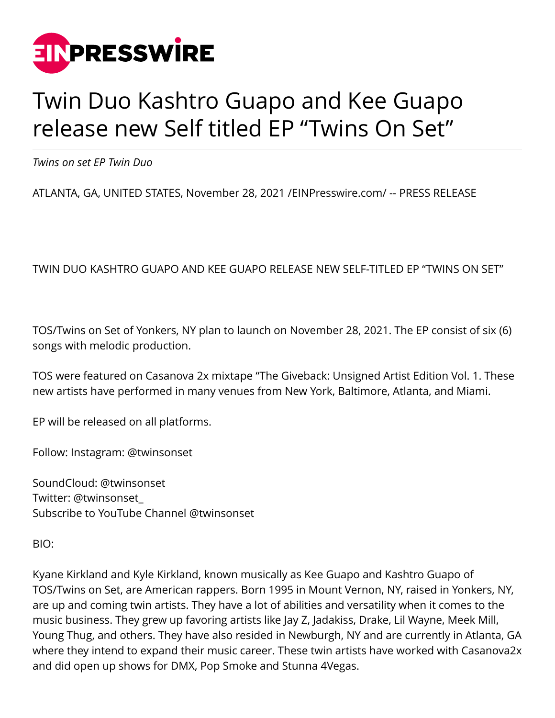

## Twin Duo Kashtro Guapo and Kee Guapo release new Self titled EP "Twins On Set"

*Twins on set EP Twin Duo*

ATLANTA, GA, UNITED STATES, November 28, 2021 [/EINPresswire.com](http://www.einpresswire.com)/ -- PRESS RELEASE

## TWIN DUO KASHTRO GUAPO AND KEE GUAPO RELEASE NEW SELF-TITLED EP "TWINS ON SET"

TOS/Twins on Set of Yonkers, NY plan to launch on November 28, 2021. The EP consist of six (6) songs with melodic production.

TOS were featured on Casanova 2x mixtape "The Giveback: Unsigned Artist Edition Vol. 1. These new artists have performed in many venues from New York, Baltimore, Atlanta, and Miami.

EP will be released on all platforms.

Follow: Instagram: @twinsonset

SoundCloud: @twinsonset Twitter: @twinsonset\_ Subscribe to YouTube Channel @twinsonset

BIO:

Kyane Kirkland and Kyle Kirkland, known musically as Kee Guapo and Kashtro Guapo of TOS/Twins on Set, are American rappers. Born 1995 in Mount Vernon, NY, raised in Yonkers, NY, are up and coming twin artists. They have a lot of abilities and versatility when it comes to the music business. They grew up favoring artists like Jay Z, Jadakiss, Drake, Lil Wayne, Meek Mill, Young Thug, and others. They have also resided in Newburgh, NY and are currently in Atlanta, GA where they intend to expand their music career. These twin artists have worked with Casanova2x and did open up shows for DMX, Pop Smoke and Stunna 4Vegas.